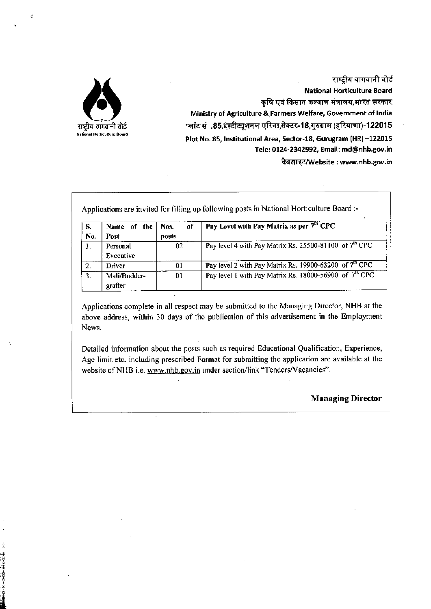

**「大変」の「小さん」の「大きい」をする。** 

राष्ट्रीय बागवानी बोर्ड National Horticulture Board कृषि एवं किसान कल्याण मंत्रालय,भारत सरकार Ministry of Agriculture &.Farmers Welfare, Government of India  $~$ प्लॉट सं .85,इंस्टीट्यूशनल एरिया,सेक्टर-18,गुरुग्राम (हरियाणा)-122015 Plot No. 85, Institutional Area, Sector-18, Gurugram (HR)-122015 Tele: 0124-2342992, Email: [md@nhb.gov.in](mailto:md@nhb.gov.in) वेबसाइट/Website: [www.nhb.gov.in](http://www.nhb.gov.in)

| S.               | the<br>Name<br>- of | Nos.<br>οf | Pay Level with Pay Matrix as per 7th CPC                           |
|------------------|---------------------|------------|--------------------------------------------------------------------|
| No.              | Post                | posts      |                                                                    |
| I.               | Personal            | 02         | Pay level 4 with Pay Matrix Rs. 25500-81100 of $7th$ CPC           |
|                  | Executive           |            |                                                                    |
| 2.               | Driver              | 01         | Pay level 2 with Pay Matrix Rs. 19900-63200 of 7 <sup>th</sup> CPC |
| $\overline{3}$ . | Mali/Budder-        | 01         | Pay level 1 with Pay Matrix Rs. 18000-56900 of $7th$ CPC           |
|                  | grafter             |            |                                                                    |

Applications complete in all respect may be submitted to the Managing Director, NHB at the above address, within 30 days of the publication of this advertisement in the Employment News.

Detailed information about the posts such as required Educational Qualification, Experience, Age limit etc. including prescribed Format for submitting the application are available at the website of NHB i.e. [www.nhb.gov.in](http://www.nhb.gov.in) under section/link "Tenders/Vacancies".

### Managing Director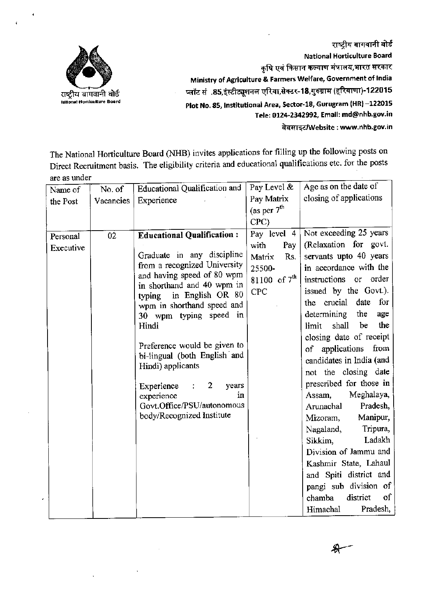

राष्ट्रीय बागवानी बोर्ड **National Horticulture Board** कृषि एवं किसान कल्याण मंत्रालय,भारत सरकार **Ministry of Agriculture & Farmers Welfare, Government of India** प्लॉट सं .85,इंस्टीट्यूशनल एरिया,सेक्टर-18,गुरुग्राम (हरियाणा)-122015 **Plot No. 85, Institutional Area, 5ector-18, Gurugram (HR) -122015 Tele: 0124-2342992, Email: [md@nhb.gov.in](mailto:md@nhb.gov.in)** ~"1<1I,,"'Website : **[www.nhb.gov.in](http://www.nhb.gov.in)**

The National Horticulture Board (NHB) invites applications for filling up the following posts on Direct Recruitment basis. The eligibility criteria and educational qualifications etc. for the posts are as under

| Name of   | No. of    | <b>Educational Qualification and</b>                  | Pay Level &       | Age as on the date of       |
|-----------|-----------|-------------------------------------------------------|-------------------|-----------------------------|
| the Post  | Vacancies | Experience                                            | Pay Matrix        | closing of applications     |
|           |           |                                                       | (as per $7th$     |                             |
|           |           |                                                       | CPC               |                             |
| Personal  | 02        | <b>Educational Qualification:</b>                     | Pay level 4       | Not exceeding 25 years      |
| Executive |           |                                                       | Pay  <br>with     | (Relaxation for govt.       |
|           |           | Graduate in any discipline                            | Rs.<br>Matrix     | servants upto 40 years      |
|           |           | from a recognized University                          | 25500-            | in accordance with the      |
|           |           | and having speed of 80 wpm                            | 81100 of $7^{th}$ | order<br>instructions or    |
|           |           | in shorthand and 40 wpm in<br>typing in English OR 80 | <b>CPC</b>        | issued by the Govt.).       |
|           |           | wpm in shorthand speed and                            |                   | the crucial date<br>for     |
|           |           | 30 wpm typing speed in                                |                   | determining<br>the<br>age   |
|           |           | Hindi                                                 |                   | the<br>shall<br>be<br>limit |
|           |           |                                                       |                   | closing date of receipt     |
|           |           | Preference would be given to                          |                   | of applications from        |
|           |           | bi-lingual (both English and                          |                   | candidates in India (and    |
|           |           | Hindi) applicants                                     |                   | not the closing date        |
|           |           | $\therefore$ 2<br>Experience<br>years                 |                   | prescribed for those in     |
|           |           | experience<br>in                                      |                   | Meghalaya,<br>Assam,        |
|           |           | Govt.Office/PSU/autonomous                            |                   | Pradesh,<br>Arunachal       |
|           |           | body/Recognized Institute                             |                   | Manipur,<br>Mizoram,        |
|           |           |                                                       |                   | Tripura,<br>Nagaland,       |
|           |           |                                                       |                   | Ladakh<br>Sikkim,           |
|           |           |                                                       |                   | Division of Jammu and       |
|           |           |                                                       |                   | Kashmir State, Lahaul       |
|           |           |                                                       |                   | and Spiti district and      |
|           |           |                                                       |                   | pangi sub division of       |
|           |           |                                                       |                   | of<br>district<br>chamba    |
|           |           |                                                       |                   | Pradesh,<br>Himachal        |

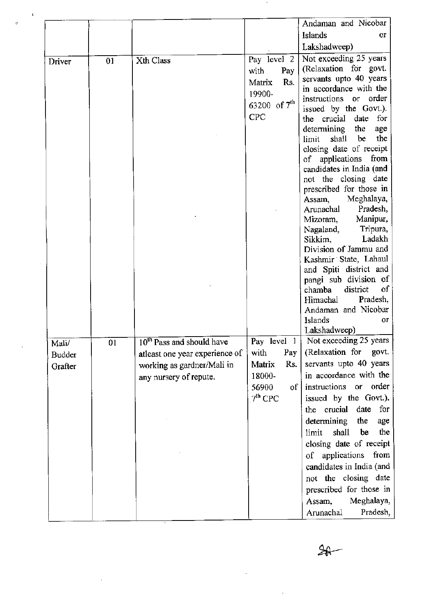|                            |    |                                                                                                                                 |                                                                                                | Andaman and Nicobar                                                                                                                                                                                                                                                                                                                                                                                                                                                                                                                                                                                                                                                     |
|----------------------------|----|---------------------------------------------------------------------------------------------------------------------------------|------------------------------------------------------------------------------------------------|-------------------------------------------------------------------------------------------------------------------------------------------------------------------------------------------------------------------------------------------------------------------------------------------------------------------------------------------------------------------------------------------------------------------------------------------------------------------------------------------------------------------------------------------------------------------------------------------------------------------------------------------------------------------------|
|                            |    |                                                                                                                                 |                                                                                                | Islands<br>0r                                                                                                                                                                                                                                                                                                                                                                                                                                                                                                                                                                                                                                                           |
|                            |    |                                                                                                                                 |                                                                                                |                                                                                                                                                                                                                                                                                                                                                                                                                                                                                                                                                                                                                                                                         |
|                            |    |                                                                                                                                 |                                                                                                | Lakshadweep)                                                                                                                                                                                                                                                                                                                                                                                                                                                                                                                                                                                                                                                            |
| Driver                     | 01 | Xth Class                                                                                                                       | Pay level 2<br>Pay<br>with<br>Rs.<br>Matrix<br>19900-<br>63200 of $7^{th}$<br><b>CPC</b>       | Not exceeding 25 years<br>(Relaxation for govt.<br>servants upto 40 years<br>in accordance with the<br>order<br>instructions or<br>issued by the Govt.).<br>for<br>the crucial<br>date<br>determining<br>the<br>age<br>the<br>be<br>shall<br>limit<br>closing date of receipt<br>of applications<br>from<br>candidates in India (and<br>not the closing date<br>prescribed for those in<br>Meghalaya,<br>Assam,<br>Pradesh,<br>Arunachal<br>Manipur,<br>Mizoram,<br>Tripura,<br>Nagaland,<br>Ladakh<br>Sikkim,<br>Division of Jammu and<br>Kashmir State, Lahaul<br>and Spiti district and<br>pangi sub division of<br>district<br>of<br>chamba<br>Pradesh,<br>Himachal |
|                            |    |                                                                                                                                 |                                                                                                | Andaman and Nicobar<br>Islands<br>Оľ<br>Lakshadweep)                                                                                                                                                                                                                                                                                                                                                                                                                                                                                                                                                                                                                    |
| Mali/<br>Budder<br>Grafter | 01 | 10 <sup>th</sup> Pass and should have<br>atleast one year experience of<br>working as gardner/Mali in<br>any nursery of repute. | Pay level 1<br>with<br>Pay<br>Rs.<br>Matrix<br>18000-<br>56900<br>of <sub>1</sub><br>$7th$ CPC | Not exceeding 25 years<br>(Relaxation for<br>govt.<br>servants upto 40 years<br>in accordance with the<br>order<br>instructions or<br>issued by the Govt.).<br>date<br>for<br>the crucial<br>determining<br>the<br>age<br>shall<br>the<br>limit<br>be<br>closing date of receipt<br>of applications<br>from<br>candidates in India (and<br>not the closing date<br>prescribed for those in<br>Meghalaya,<br>Assam,<br>Pradesh,<br>Arunachal                                                                                                                                                                                                                             |

 $\hat{\mathbf{r}}$ 

 $\bar{z}$ 

 $\mathbf{r}$ 

 $20 -$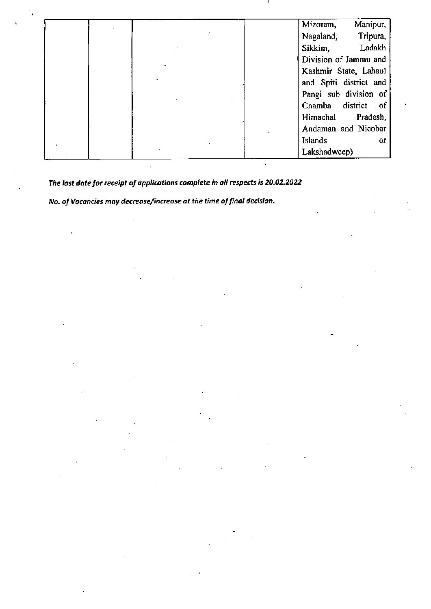|  |  |         | Mizoram,               | Manipur,  |
|--|--|---------|------------------------|-----------|
|  |  |         | Nagaland,              | Tripura,  |
|  |  |         | Sikkim,                | Ladakh    |
|  |  |         | Division of Jammu and  |           |
|  |  |         | Kashmir State, Lahaul  |           |
|  |  |         | and Spiti district and |           |
|  |  |         | Pangi sub division of  |           |
|  |  |         | Chamba district of     |           |
|  |  |         | Himachal               | Pradesh,  |
|  |  |         | Andaman and Nicobar    |           |
|  |  | Islands |                        | <b>or</b> |
|  |  |         | Lakshadweep)           |           |

 $\ddot{\phantom{a}}$ 

*The last date for receipt of applications complete in all respects is 20.02.2022*

*No. of Vacancies may decrease/increase at the time of final decision.*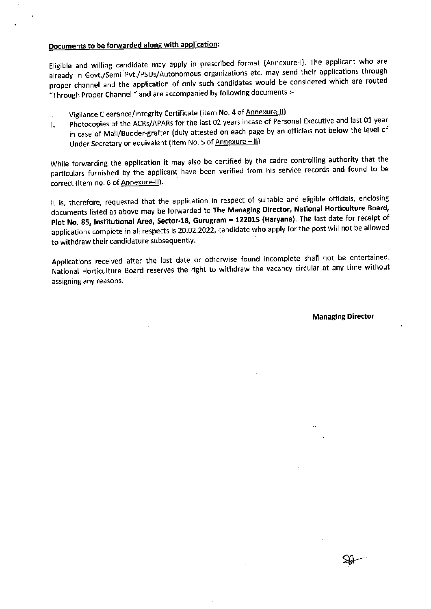## Documents to be forwarded along with application:

Eligible and willing candidate may apply in prescribed format (Annexure-I). The applicant who are already in Govt./Semi Pvt./PSUs/Autonomous organizations etc. may send their applications through proper channel and the application of only such candidates would be considered which are routed "Through Proper Channel" and are accompanied by following documents :-

- I. Vigilance Clearance/Integrity Certificate (Item No. 4 of Annexure-II)
- "II. Photocopies of the ACRs/APARs for the last 02 years incase of Personal Executive and last 01 year in case of Mali/Budder-grafter (duly attested on each page by an officials not below the level of Under Secretary or equivalent (Item No. 5 of Annexure - II)

While forwarding the application it may also be certified by the cadre controlling authority that the particulars furnished by the applicant have been verified from his service records and found to be correct (Item no. 6 of Annexure-II).

It is, therefore, requested that the application in respect of suitable and eligible officials, enclosing documents listed as above may be forwarded to The Managing Director, National Horticulture Board, Plot No. 85, Institutional Area, Sector-18, Gurugram - 122015 (Haryana). The last date for receipt of applications complete in all respects is 20.02.2022, candidate who apply for the post will not be allowed to withdraw their candidature subsequently.

Applications received after the last date or otherwise found incomplete shall not be entertained. National Horticulture Board reserves the right to withdraw the vacancy circular at any time without assigning any reasons.

Managing Director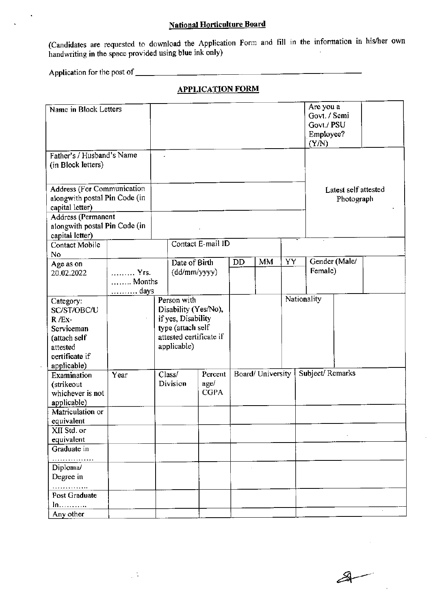# **National Horticulture Board**

(Candidates are requested to download the Application Form and fill in the information In his/her own handwriting in the space provided using blue ink only)

Application for the post of \_

## **APPLICATION FORM**

| Name in Block Letters                                                                                              |                        |                                                                       |                                                      |                                                 |                   |    |    |                                    | Are you a<br>Govt. / Semi<br>Govt./ PSU<br>Employee?<br>(Y/N) |  |  |
|--------------------------------------------------------------------------------------------------------------------|------------------------|-----------------------------------------------------------------------|------------------------------------------------------|-------------------------------------------------|-------------------|----|----|------------------------------------|---------------------------------------------------------------|--|--|
| Father's / Husband's Name<br>(in Block letters)                                                                    |                        | $\lambda$                                                             |                                                      |                                                 |                   |    |    |                                    |                                                               |  |  |
| <b>Address (For Communication</b><br>alongwith postal Pin Code (in<br>capital letter)<br><b>Address (Permanent</b> |                        |                                                                       |                                                      |                                                 |                   |    |    | Latest self attested<br>Photograph |                                                               |  |  |
| alongwith postal Pin Code (in<br>capital letter)                                                                   |                        |                                                                       |                                                      |                                                 |                   |    |    |                                    |                                                               |  |  |
| Contact Mobile                                                                                                     |                        |                                                                       |                                                      | Contact E-mail ID                               |                   |    |    |                                    |                                                               |  |  |
| No<br>Age as on                                                                                                    |                        |                                                                       | Date of Birth                                        |                                                 | DD                | MM | YY |                                    | Gender (Male/                                                 |  |  |
| 20.02.2022                                                                                                         | Yrs.<br>Months<br>days |                                                                       |                                                      | $(dd/\text{mm/yyyy})$                           |                   |    |    |                                    | Female)                                                       |  |  |
| Category:<br>SC/ST/OBC/U<br>$R$ /Ex-<br>Serviceman<br>(attach self<br>attested<br>certificate if<br>applicable)    |                        | Person with<br>if yes, Disability<br>type (attach self<br>applicable) |                                                      | Disability (Yes/No),<br>attested certificate if |                   |    |    | Nationality                        |                                                               |  |  |
| Examination<br>(strikeout<br>whichever is not<br>applicable)                                                       | Year                   |                                                                       | Class/<br>Percent<br>Division<br>age/<br><b>CGPA</b> |                                                 | Board/ University |    |    |                                    | Subject/Remarks                                               |  |  |
| Matriculation or<br>equivalent                                                                                     |                        |                                                                       |                                                      |                                                 |                   |    |    |                                    |                                                               |  |  |
| XII Std. or<br>equivalent                                                                                          |                        |                                                                       |                                                      |                                                 |                   |    |    |                                    |                                                               |  |  |
| Graduate in                                                                                                        |                        |                                                                       |                                                      |                                                 |                   |    |    |                                    |                                                               |  |  |
| .<br>Diploma/<br>Degree in                                                                                         |                        |                                                                       |                                                      |                                                 |                   |    |    |                                    |                                                               |  |  |
| .<br>Post Graduate                                                                                                 |                        |                                                                       |                                                      |                                                 |                   |    |    |                                    |                                                               |  |  |
| $\ln$<br>Any other                                                                                                 |                        |                                                                       |                                                      |                                                 |                   |    |    |                                    |                                                               |  |  |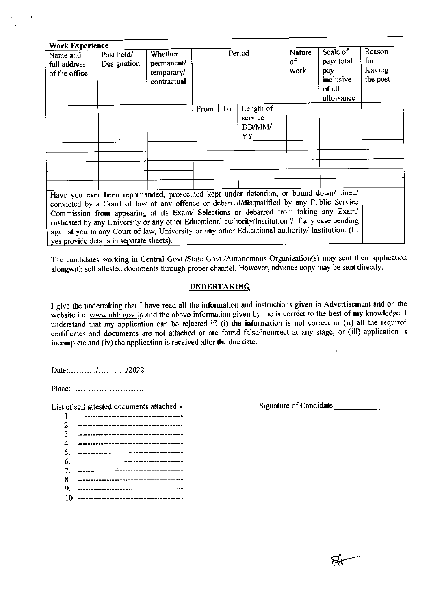| <b>Work Experience</b>                    |                                                                                                                                                                                                                                                                                                                                                                                                                                                                                                                                  |                                                           |        |    |                                      |                      |                                                                   |                                         |
|-------------------------------------------|----------------------------------------------------------------------------------------------------------------------------------------------------------------------------------------------------------------------------------------------------------------------------------------------------------------------------------------------------------------------------------------------------------------------------------------------------------------------------------------------------------------------------------|-----------------------------------------------------------|--------|----|--------------------------------------|----------------------|-------------------------------------------------------------------|-----------------------------------------|
| Name and<br>full address<br>of the office | Post held/<br>Designation                                                                                                                                                                                                                                                                                                                                                                                                                                                                                                        | <b>Whether</b><br>permanent/<br>temporary/<br>contractual | Period |    |                                      | Nature<br>of<br>work | Scale of<br>pay/ total<br>pay<br>inclusive<br>of all<br>allowance | Reason<br>$f$ or<br>leaving<br>the post |
|                                           |                                                                                                                                                                                                                                                                                                                                                                                                                                                                                                                                  |                                                           | From   | To | Length of<br>service<br>DD/MM/<br>YY |                      |                                                                   |                                         |
|                                           |                                                                                                                                                                                                                                                                                                                                                                                                                                                                                                                                  |                                                           |        |    |                                      |                      |                                                                   |                                         |
|                                           |                                                                                                                                                                                                                                                                                                                                                                                                                                                                                                                                  |                                                           |        |    |                                      |                      |                                                                   |                                         |
|                                           |                                                                                                                                                                                                                                                                                                                                                                                                                                                                                                                                  |                                                           |        |    |                                      |                      |                                                                   |                                         |
|                                           |                                                                                                                                                                                                                                                                                                                                                                                                                                                                                                                                  |                                                           |        |    |                                      |                      |                                                                   |                                         |
|                                           | Have you ever been reprimanded, prosecuted kept under detention, or bound down/ fined/<br>convicted by a Court of law of any offence or debarred/disqualified by any Public Service<br>Commission from appearing at its Exam/ Selections or debarred from taking any Exam/<br>rusticated by any University or any other Educational authority/Institution ? If any case pending<br>against you in any Court of law, University or any other Educational authority/ Institution. (If,<br>yes provide details in separate sheets). |                                                           |        |    |                                      |                      |                                                                   |                                         |

The candidates working in Central Govt./State Govt./Autonomous Organization(s) may sent their application alongwith self attested documents through proper channel. However, advance copy may be sent directly.

#### **UNDERTAKING**

I give the undertaking that I have read all the information and instructions given in Advertisement and on the website i.e. [www.nhb.gov.in](http://www.nhb.gov.in) and the above information given by me is correct to the best of my knowledge. I understand that my application can be rejected if, (i) the information is not correct or (ii) all the required certificates and documents are not attached or are found false/incorrect at any stage, or (iii) application is incomplete and (iv) the application is received after the due date.

Date:........../............/2022

Place: ............................

List of self attested documents attached:-

**1. ---------------------------------------- 2. ----------------------------------------** 3. ---------------------------------------- 4. ---------------------------------------- 5. ---------------------------------------- **6. ----------------------------------------** 7. ---------------------------------------- **8. ---------------------------------------- 9. ----------------------------------------** 10. ----------------------------------------

Signature of Candidate